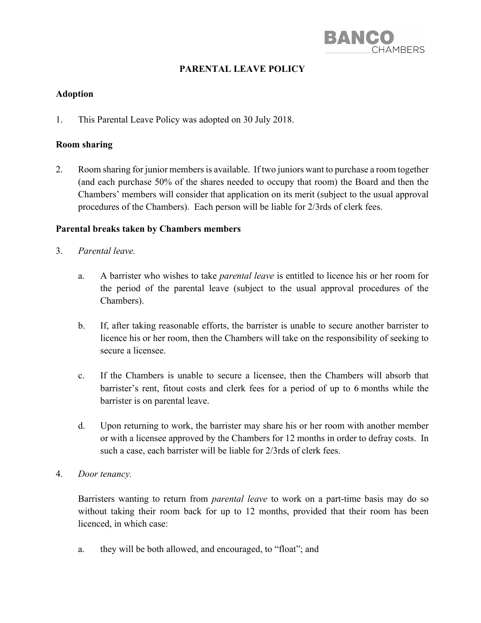

# **PARENTAL LEAVE POLICY**

#### **Adoption**

1. This Parental Leave Policy was adopted on 30 July 2018.

#### **Room sharing**

2. Room sharing for junior members is available. If two juniors want to purchase a room together (and each purchase 50% of the shares needed to occupy that room) the Board and then the Chambers' members will consider that application on its merit (subject to the usual approval procedures of the Chambers). Each person will be liable for 2/3rds of clerk fees.

#### **Parental breaks taken by Chambers members**

- 3. *Parental leave.*
	- a. A barrister who wishes to take *parental leave* is entitled to licence his or her room for the period of the parental leave (subject to the usual approval procedures of the Chambers).
	- b. If, after taking reasonable efforts, the barrister is unable to secure another barrister to licence his or her room, then the Chambers will take on the responsibility of seeking to secure a licensee.
	- c. If the Chambers is unable to secure a licensee, then the Chambers will absorb that barrister's rent, fitout costs and clerk fees for a period of up to 6 months while the barrister is on parental leave.
	- d. Upon returning to work, the barrister may share his or her room with another member or with a licensee approved by the Chambers for 12 months in order to defray costs. In such a case, each barrister will be liable for 2/3rds of clerk fees.
- 4. *Door tenancy.*

Barristers wanting to return from *parental leave* to work on a part-time basis may do so without taking their room back for up to 12 months, provided that their room has been licenced, in which case:

a. they will be both allowed, and encouraged, to "float"; and